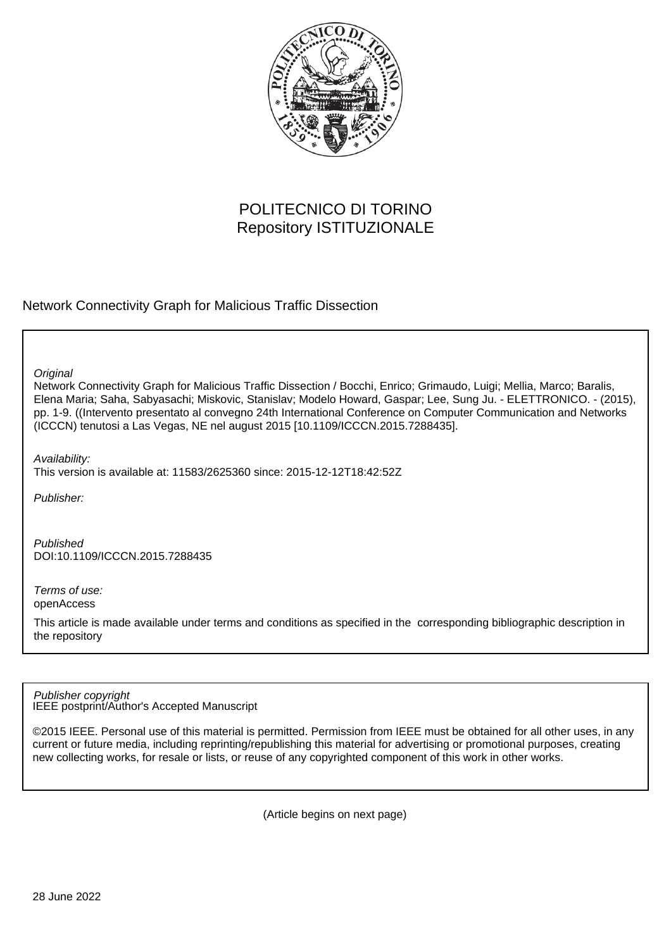

# POLITECNICO DI TORINO Repository ISTITUZIONALE

Network Connectivity Graph for Malicious Traffic Dissection

**Original** 

Network Connectivity Graph for Malicious Traffic Dissection / Bocchi, Enrico; Grimaudo, Luigi; Mellia, Marco; Baralis, Elena Maria; Saha, Sabyasachi; Miskovic, Stanislav; Modelo Howard, Gaspar; Lee, Sung Ju. - ELETTRONICO. - (2015), pp. 1-9. ((Intervento presentato al convegno 24th International Conference on Computer Communication and Networks (ICCCN) tenutosi a Las Vegas, NE nel august 2015 [10.1109/ICCCN.2015.7288435].

Availability:

This version is available at: 11583/2625360 since: 2015-12-12T18:42:52Z

Publisher:

Published DOI:10.1109/ICCCN.2015.7288435

Terms of use: openAccess

This article is made available under terms and conditions as specified in the corresponding bibliographic description in the repository

IEEE postprint/Author's Accepted Manuscript Publisher copyright

©2015 IEEE. Personal use of this material is permitted. Permission from IEEE must be obtained for all other uses, in any current or future media, including reprinting/republishing this material for advertising or promotional purposes, creating new collecting works, for resale or lists, or reuse of any copyrighted component of this work in other works.

(Article begins on next page)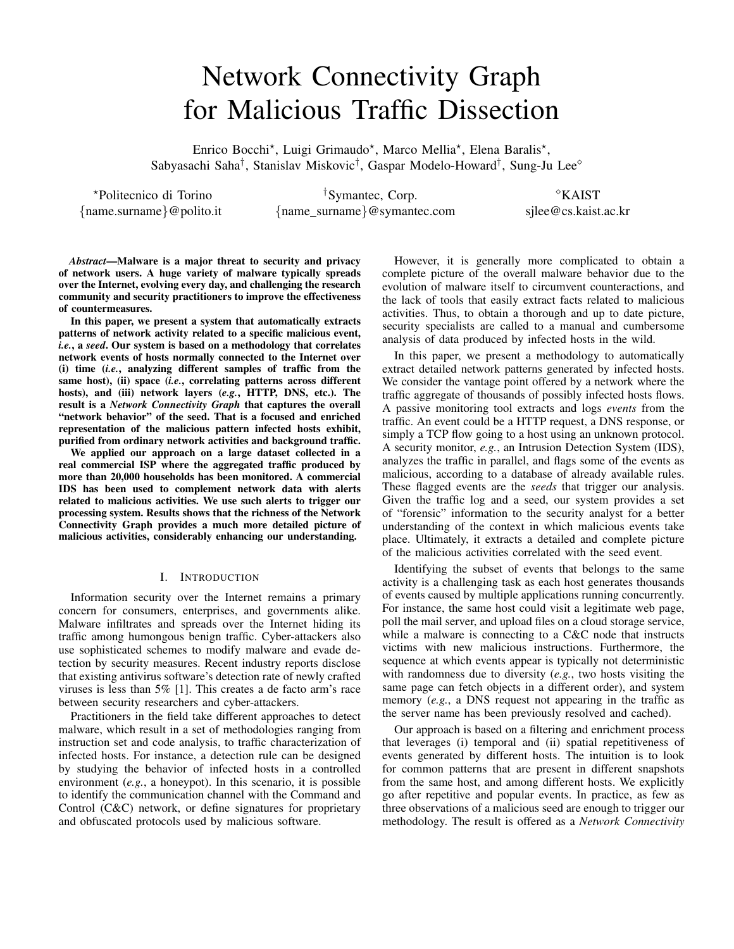# Network Connectivity Graph for Malicious Traffic Dissection

Enrico Bocchi\*, Luigi Grimaudo\*, Marco Mellia\*, Elena Baralis\*, Sabyasachi Saha<sup>†</sup>, Stanislav Miskovic<sup>†</sup>, Gaspar Modelo-Howard<sup>†</sup>, Sung-Ju Lee<sup>0</sup>

?Politecnico di Torino †Symantec, Corp. KAIST {name.surname}@polito.it {name surname}@symantec.com sjlee@cs.kaist.ac.kr

*Abstract*—Malware is a major threat to security and privacy of network users. A huge variety of malware typically spreads over the Internet, evolving every day, and challenging the research community and security practitioners to improve the effectiveness of countermeasures.

In this paper, we present a system that automatically extracts patterns of network activity related to a specific malicious event, *i.e.*, a *seed*. Our system is based on a methodology that correlates network events of hosts normally connected to the Internet over (i) time (*i.e.*, analyzing different samples of traffic from the same host), (ii) space (*i.e.*, correlating patterns across different hosts), and (iii) network layers (*e.g.*, HTTP, DNS, etc.). The result is a *Network Connectivity Graph* that captures the overall "network behavior" of the seed. That is a focused and enriched representation of the malicious pattern infected hosts exhibit, purified from ordinary network activities and background traffic.

We applied our approach on a large dataset collected in a real commercial ISP where the aggregated traffic produced by more than 20,000 households has been monitored. A commercial IDS has been used to complement network data with alerts related to malicious activities. We use such alerts to trigger our processing system. Results shows that the richness of the Network Connectivity Graph provides a much more detailed picture of malicious activities, considerably enhancing our understanding.

# I. INTRODUCTION

Information security over the Internet remains a primary concern for consumers, enterprises, and governments alike. Malware infiltrates and spreads over the Internet hiding its traffic among humongous benign traffic. Cyber-attackers also use sophisticated schemes to modify malware and evade detection by security measures. Recent industry reports disclose that existing antivirus software's detection rate of newly crafted viruses is less than 5% [1]. This creates a de facto arm's race between security researchers and cyber-attackers.

Practitioners in the field take different approaches to detect malware, which result in a set of methodologies ranging from instruction set and code analysis, to traffic characterization of infected hosts. For instance, a detection rule can be designed by studying the behavior of infected hosts in a controlled environment (*e.g.*, a honeypot). In this scenario, it is possible to identify the communication channel with the Command and Control (C&C) network, or define signatures for proprietary and obfuscated protocols used by malicious software.

However, it is generally more complicated to obtain a complete picture of the overall malware behavior due to the evolution of malware itself to circumvent counteractions, and the lack of tools that easily extract facts related to malicious activities. Thus, to obtain a thorough and up to date picture, security specialists are called to a manual and cumbersome analysis of data produced by infected hosts in the wild.

In this paper, we present a methodology to automatically extract detailed network patterns generated by infected hosts. We consider the vantage point offered by a network where the traffic aggregate of thousands of possibly infected hosts flows. A passive monitoring tool extracts and logs *events* from the traffic. An event could be a HTTP request, a DNS response, or simply a TCP flow going to a host using an unknown protocol. A security monitor, *e.g.*, an Intrusion Detection System (IDS), analyzes the traffic in parallel, and flags some of the events as malicious, according to a database of already available rules. These flagged events are the *seeds* that trigger our analysis. Given the traffic log and a seed, our system provides a set of "forensic" information to the security analyst for a better understanding of the context in which malicious events take place. Ultimately, it extracts a detailed and complete picture of the malicious activities correlated with the seed event.

Identifying the subset of events that belongs to the same activity is a challenging task as each host generates thousands of events caused by multiple applications running concurrently. For instance, the same host could visit a legitimate web page, poll the mail server, and upload files on a cloud storage service, while a malware is connecting to a C&C node that instructs victims with new malicious instructions. Furthermore, the sequence at which events appear is typically not deterministic with randomness due to diversity (*e.g.*, two hosts visiting the same page can fetch objects in a different order), and system memory (*e.g.*, a DNS request not appearing in the traffic as the server name has been previously resolved and cached).

Our approach is based on a filtering and enrichment process that leverages (i) temporal and (ii) spatial repetitiveness of events generated by different hosts. The intuition is to look for common patterns that are present in different snapshots from the same host, and among different hosts. We explicitly go after repetitive and popular events. In practice, as few as three observations of a malicious seed are enough to trigger our methodology. The result is offered as a *Network Connectivity*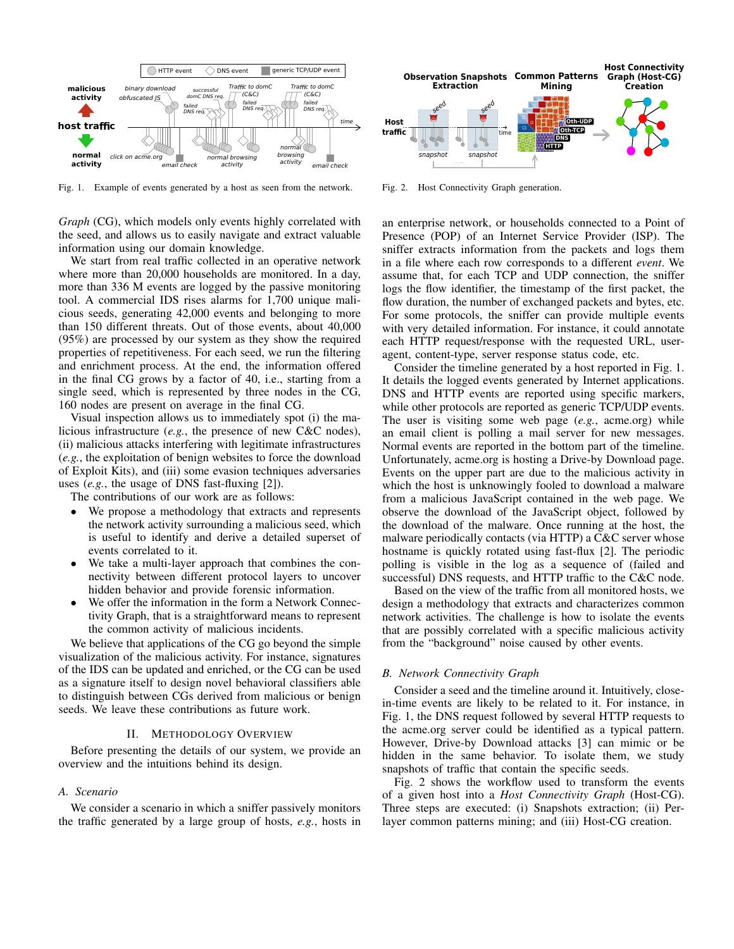

Fig. 1. Example of events generated by a host as seen from the network.

*Graph* (CG), which models only events highly correlated with the seed, and allows us to easily navigate and extract valuable information using our domain knowledge.

We start from real traffic collected in an operative network where more than 20,000 households are monitored. In a day, more than 336 M events are logged by the passive monitoring tool. A commercial IDS rises alarms for 1,700 unique malicious seeds, generating 42,000 events and belonging to more than 150 different threats. Out of those events, about 40,000 (95%) are processed by our system as they show the required properties of repetitiveness. For each seed, we run the filtering and enrichment process. At the end, the information offered in the final CG grows by a factor of 40, i.e., starting from a single seed, which is represented by three nodes in the CG, 160 nodes are present on average in the final CG.

Visual inspection allows us to immediately spot (i) the malicious infrastructure (*e.g.*, the presence of new C&C nodes), (ii) malicious attacks interfering with legitimate infrastructures (*e.g.*, the exploitation of benign websites to force the download of Exploit Kits), and (iii) some evasion techniques adversaries uses (*e.g.*, the usage of DNS fast-fluxing [2]).

The contributions of our work are as follows:

- We propose a methodology that extracts and represents the network activity surrounding a malicious seed, which is useful to identify and derive a detailed superset of events correlated to it.
- We take a multi-layer approach that combines the connectivity between different protocol layers to uncover hidden behavior and provide forensic information.
- We offer the information in the form a Network Connectivity Graph, that is a straightforward means to represent the common activity of malicious incidents.

We believe that applications of the CG go beyond the simple visualization of the malicious activity. For instance, signatures of the IDS can be updated and enriched, or the CG can be used as a signature itself to design novel behavioral classifiers able to distinguish between CGs derived from malicious or benign seeds. We leave these contributions as future work.

#### II. METHODOLOGY OVERVIEW

Before presenting the details of our system, we provide an overview and the intuitions behind its design.

# *A. Scenario*

We consider a scenario in which a sniffer passively monitors the traffic generated by a large group of hosts, *e.g.*, hosts in



Fig. 2. Host Connectivity Graph generation.

an enterprise network, or households connected to a Point of Presence (POP) of an Internet Service Provider (ISP). The sniffer extracts information from the packets and logs them in a file where each row corresponds to a different *event*. We assume that, for each TCP and UDP connection, the sniffer logs the flow identifier, the timestamp of the first packet, the flow duration, the number of exchanged packets and bytes, etc. For some protocols, the sniffer can provide multiple events with very detailed information. For instance, it could annotate each HTTP request/response with the requested URL, useragent, content-type, server response status code, etc.

Consider the timeline generated by a host reported in Fig. 1. It details the logged events generated by Internet applications. DNS and HTTP events are reported using specific markers, while other protocols are reported as generic TCP/UDP events. The user is visiting some web page (*e.g.*, acme.org) while an email client is polling a mail server for new messages. Normal events are reported in the bottom part of the timeline. Unfortunately, acme.org is hosting a Drive-by Download page. Events on the upper part are due to the malicious activity in which the host is unknowingly fooled to download a malware from a malicious JavaScript contained in the web page. We observe the download of the JavaScript object, followed by the download of the malware. Once running at the host, the malware periodically contacts (via HTTP) a C&C server whose hostname is quickly rotated using fast-flux [2]. The periodic polling is visible in the log as a sequence of (failed and successful) DNS requests, and HTTP traffic to the C&C node.

Based on the view of the traffic from all monitored hosts, we design a methodology that extracts and characterizes common network activities. The challenge is how to isolate the events that are possibly correlated with a specific malicious activity from the "background" noise caused by other events.

#### *B. Network Connectivity Graph*

Consider a seed and the timeline around it. Intuitively, closein-time events are likely to be related to it. For instance, in Fig. 1, the DNS request followed by several HTTP requests to the acme.org server could be identified as a typical pattern. However, Drive-by Download attacks [3] can mimic or be hidden in the same behavior. To isolate them, we study snapshots of traffic that contain the specific seeds.

Fig. 2 shows the workflow used to transform the events of a given host into a *Host Connectivity Graph* (Host-CG). Three steps are executed: (i) Snapshots extraction; (ii) Perlayer common patterns mining; and (iii) Host-CG creation.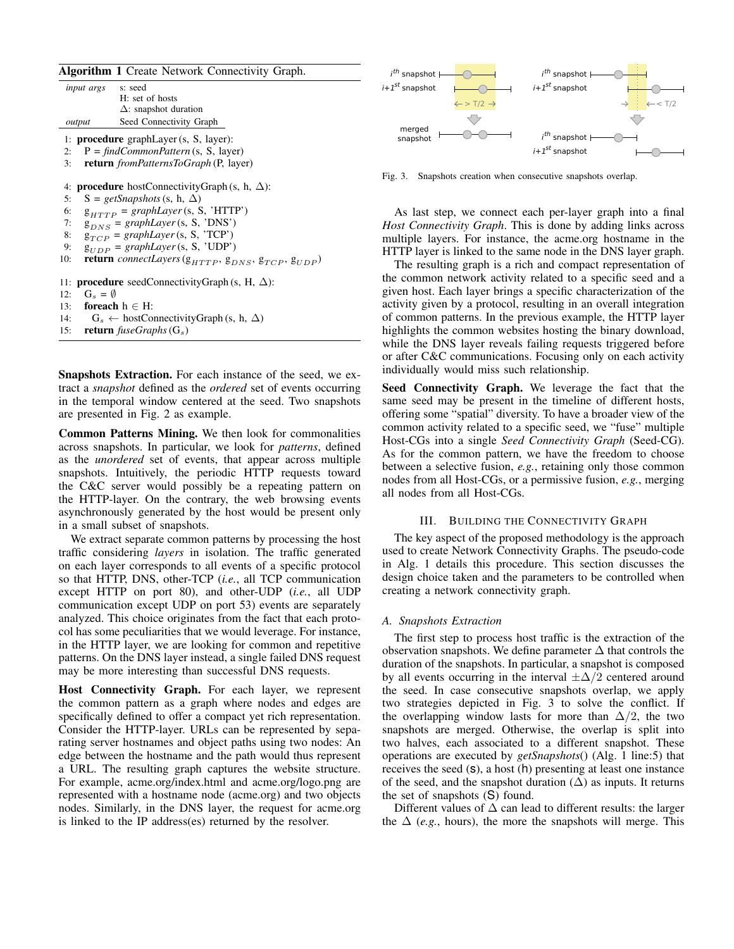|                                               | Algorithm 1 Create Network Connectivity Graph.                                 | i <sup>th</sup> snapshot     |
|-----------------------------------------------|--------------------------------------------------------------------------------|------------------------------|
| input args<br>s: seed                         |                                                                                | $i+1$ <sup>st</sup> snapshot |
| H: set of hosts                               |                                                                                |                              |
|                                               | $\Delta$ : snapshot duration                                                   |                              |
| output                                        | Seed Connectivity Graph                                                        | merged                       |
| 1: <b>procedure</b> graphLayer (s, S, layer): |                                                                                | snapshot                     |
| 2:                                            | $P = \frac{\text{findCommonPattern}(s, S, layer)}{P}$                          |                              |
| 3:                                            | return fromPatternsToGraph (P, layer)                                          |                              |
|                                               |                                                                                | Fig. 3.<br>Snap              |
|                                               | 4: <b>procedure</b> hostConnectivityGraph (s, h, $\Delta$ ):                   |                              |
| 5:<br>$S = getSnapshots$ (s, h, $\Delta$ )    |                                                                                |                              |
| 6:<br>7:                                      | $g_{HTTP}$ = graphLayer(s, S, 'HTTP')<br>$g_{DNS} = graphLayer(s, S, 'DNS')$   | As last s                    |
| 8:                                            | $g_{TCP} = graphLayer(s, S, 'TCP')$                                            | Host Conne                   |
| 9:                                            | $g_{UDP} = graphLayer(s, S, 'UDP')$                                            | multiple la                  |
| 10:                                           | <b>return</b> connectLayers ( $g_{HTTP}$ , $g_{DNS}$ , $g_{TCP}$ , $g_{UDP}$ ) | HTTP layer                   |
|                                               |                                                                                | The resu                     |
|                                               | 11: <b>procedure</b> seedConnectivityGraph (s, H, $\Delta$ ):                  | the commo                    |
| $G_s = \emptyset$<br>12:                      |                                                                                | given host.                  |
| 13:<br>foreach $h \in H$ :                    |                                                                                | activity giv                 |
| 14:                                           | $G_s \leftarrow$ hostConnectivityGraph (s, h, $\Delta$ )                       | of common                    |
| 15:<br><b>return</b> fuseGraphs $(G_s)$       |                                                                                | highlights t                 |
|                                               |                                                                                | while the I                  |
|                                               |                                                                                | or after C&                  |
|                                               | <b>Snapshots Extraction.</b> For each instance of the seed, we ex-             | individually                 |
|                                               | tract a snapshot defined as the ordered set of events occurring                | Seed Con                     |
|                                               | in the temporal window centered at the seed. Two snapshots                     | same seed                    |
| are presented in Fig. 2 as example.           |                                                                                | offering sor                 |
|                                               | Common Patterns Mining. We then look for commonalities                         | common ac                    |
|                                               | across snapshots. In particular, we look for patterns, defined                 | Host-CGs i                   |
|                                               | as the <i>unordered</i> set of events, that appear across multiple             | As for the                   |
|                                               | snapshots. Intuitively, the periodic HTTP requests toward                      | between a                    |
|                                               | the C&C server would possibly be a repeating pattern on                        | nodes from                   |
|                                               | the HTTP-layer. On the contrary, the web browsing events                       | all nodes fr                 |
|                                               | asynchronously generated by the host would be present only                     |                              |
| in a small subset of snapshots.               |                                                                                | Ш.                           |
|                                               | We extract separate common patterns by processing the host                     | The key                      |
|                                               | traffic considering layers in isolation. The traffic generated                 | used to crea                 |
|                                               | on each layer corresponds to all events of a specific protocol                 | in Alg. 1                    |
|                                               | so that HTTP, DNS, other-TCP (i.e., all TCP communication                      | design choi                  |
|                                               | except HTTP on port 80), and other-UDP (i.e., all UDP                          | creating a r                 |
|                                               | communication except UDP on port 53) events are separately                     |                              |
|                                               | analyzed. This choice originates from the fact that each proto-                |                              |
|                                               | col has some peculiarities that we would leverage. For instance,               | A. Snapsho                   |
|                                               | in the HTTP layer, we are looking for common and repetitive                    | The first                    |
|                                               | patterns. On the DNS layer instead, a single failed DNS request                | observation                  |
|                                               | may be more interesting than successful DNS requests.                          | duration of                  |
|                                               |                                                                                | by all even                  |
|                                               | Host Connectivity Graph. For each layer, we represent                          | the seed. I                  |
|                                               | the common pattern as a graph where nodes and edges are                        | two strateg                  |
|                                               | specifically defined to offer a compact yet rich representation.               | the overlap                  |
|                                               | Consider the HTTP-layer. URLs can be represented by sepa-                      | snapshots a                  |
|                                               | rating server hostnames and object paths using two nodes: An                   | two halves                   |
|                                               | edge between the hostname and the path would thus represent                    | operations                   |
|                                               | a URL. The resulting graph captures the website structure.                     | receives the                 |
|                                               | For example, acme.org/index.html and acme.org/logo.png are                     | of the seed,                 |
|                                               | represented with a hostname node (acme.org) and two objects                    | the set of s                 |
|                                               | nodes. Similarly, in the DNS layer, the request for acme.org                   | Different                    |
|                                               | is linked to the IP address(es) returned by the resolver.                      | the $\Delta$ (e.g.           |



Fig. 3. Snapshots creation when consecutive snapshots overlap.

As last step, we connect each per-layer graph into a final *Host Connectivity Graph*. This is done by adding links across multiple layers. For instance, the acme.org hostname in the HTTP layer is linked to the same node in the DNS layer graph.

The resulting graph is a rich and compact representation of the common network activity related to a specific seed and a given host. Each layer brings a specific characterization of the activity given by a protocol, resulting in an overall integration of common patterns. In the previous example, the HTTP layer highlights the common websites hosting the binary download, while the DNS layer reveals failing requests triggered before or after C&C communications. Focusing only on each activity individually would miss such relationship.

Seed Connectivity Graph. We leverage the fact that the same seed may be present in the timeline of different hosts, offering some "spatial" diversity. To have a broader view of the common activity related to a specific seed, we "fuse" multiple Host-CGs into a single *Seed Connectivity Graph* (Seed-CG). As for the common pattern, we have the freedom to choose between a selective fusion, *e.g.*, retaining only those common nodes from all Host-CGs, or a permissive fusion, *e.g.*, merging all nodes from all Host-CGs.

# III. BUILDING THE CONNECTIVITY GRAPH

The key aspect of the proposed methodology is the approach used to create Network Connectivity Graphs. The pseudo-code in Alg. 1 details this procedure. This section discusses the design choice taken and the parameters to be controlled when creating a network connectivity graph.

#### *A. Snapshots Extraction*

The first step to process host traffic is the extraction of the observation snapshots. We define parameter ∆ that controls the duration of the snapshots. In particular, a snapshot is composed by all events occurring in the interval  $\pm \Delta/2$  centered around the seed. In case consecutive snapshots overlap, we apply two strategies depicted in Fig. 3 to solve the conflict. If the overlapping window lasts for more than  $\Delta/2$ , the two snapshots are merged. Otherwise, the overlap is split into two halves, each associated to a different snapshot. These operations are executed by *getSnapshots*() (Alg. 1 line:5) that receives the seed (s), a host (h) presenting at least one instance of the seed, and the snapshot duration  $(\Delta)$  as inputs. It returns the set of snapshots (S) found.

Different values of  $\Delta$  can lead to different results: the larger the  $\Delta$  (*e.g.*, hours), the more the snapshots will merge. This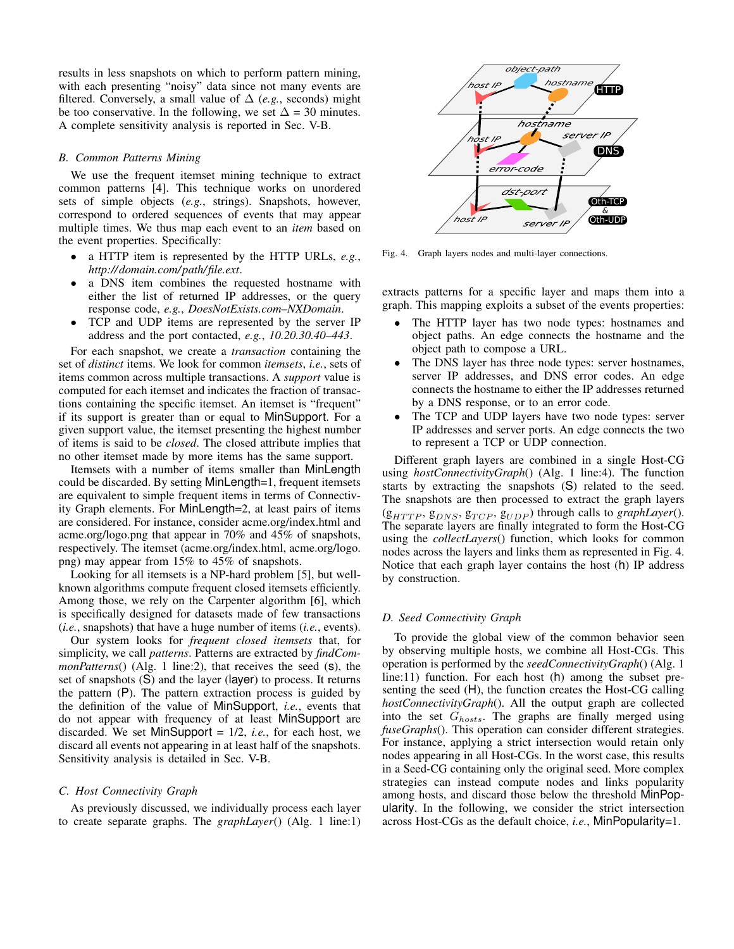results in less snapshots on which to perform pattern mining, with each presenting "noisy" data since not many events are filtered. Conversely, a small value of  $\Delta$  (*e.g.*, seconds) might be too conservative. In the following, we set  $\Delta = 30$  minutes. A complete sensitivity analysis is reported in Sec. V-B.

### *B. Common Patterns Mining*

We use the frequent itemset mining technique to extract common patterns [4]. This technique works on unordered sets of simple objects (*e.g.*, strings). Snapshots, however, correspond to ordered sequences of events that may appear multiple times. We thus map each event to an *item* based on the event properties. Specifically:

- a HTTP item is represented by the HTTP URLs, *e.g.*, *http:// domain.com/ path/ file.ext*.
- a DNS item combines the requested hostname with either the list of returned IP addresses, or the query response code, *e.g.*, *DoesNotExists.com–NXDomain*.
- TCP and UDP items are represented by the server IP address and the port contacted, *e.g.*, *10.20.30.40–443*.

For each snapshot, we create a *transaction* containing the set of *distinct* items. We look for common *itemsets*, *i.e.*, sets of items common across multiple transactions. A *support* value is computed for each itemset and indicates the fraction of transactions containing the specific itemset. An itemset is "frequent" if its support is greater than or equal to MinSupport. For a given support value, the itemset presenting the highest number of items is said to be *closed*. The closed attribute implies that no other itemset made by more items has the same support.

Itemsets with a number of items smaller than MinLength could be discarded. By setting MinLength=1, frequent itemsets are equivalent to simple frequent items in terms of Connectivity Graph elements. For MinLength=2, at least pairs of items are considered. For instance, consider acme.org/index.html and acme.org/logo.png that appear in 70% and 45% of snapshots, respectively. The itemset (acme.org/index.html, acme.org/logo. png) may appear from 15% to 45% of snapshots.

Looking for all itemsets is a NP-hard problem [5], but wellknown algorithms compute frequent closed itemsets efficiently. Among those, we rely on the Carpenter algorithm [6], which is specifically designed for datasets made of few transactions (*i.e.*, snapshots) that have a huge number of items (*i.e.*, events).

Our system looks for *frequent closed itemsets* that, for simplicity, we call *patterns*. Patterns are extracted by *findCommonPatterns*() (Alg. 1 line:2), that receives the seed (s), the set of snapshots (S) and the layer (layer) to process. It returns the pattern (P). The pattern extraction process is guided by the definition of the value of MinSupport, *i.e.*, events that do not appear with frequency of at least MinSupport are discarded. We set MinSupport = 1/2, *i.e.*, for each host, we discard all events not appearing in at least half of the snapshots. Sensitivity analysis is detailed in Sec. V-B.

#### *C. Host Connectivity Graph*

As previously discussed, we individually process each layer to create separate graphs. The *graphLayer*() (Alg. 1 line:1)



Fig. 4. Graph layers nodes and multi-layer connections.

extracts patterns for a specific layer and maps them into a graph. This mapping exploits a subset of the events properties:

- The HTTP layer has two node types: hostnames and object paths. An edge connects the hostname and the object path to compose a URL.
- The DNS layer has three node types: server hostnames, server IP addresses, and DNS error codes. An edge connects the hostname to either the IP addresses returned by a DNS response, or to an error code.
- The TCP and UDP layers have two node types: server IP addresses and server ports. An edge connects the two to represent a TCP or UDP connection.

Different graph layers are combined in a single Host-CG using *hostConnectivityGraph*() (Alg. 1 line:4). The function starts by extracting the snapshots (S) related to the seed. The snapshots are then processed to extract the graph layers  $(g_{HTTP}, g_{DNS}, g_{TCP}, g_{UDP})$  through calls to *graphLayer*(). The separate layers are finally integrated to form the Host-CG using the *collectLayers*() function, which looks for common nodes across the layers and links them as represented in Fig. 4. Notice that each graph layer contains the host (h) IP address by construction.

#### *D. Seed Connectivity Graph*

To provide the global view of the common behavior seen by observing multiple hosts, we combine all Host-CGs. This operation is performed by the *seedConnectivityGraph*() (Alg. 1 line:11) function. For each host (h) among the subset presenting the seed (H), the function creates the Host-CG calling *hostConnectivityGraph*(). All the output graph are collected into the set  $G_{hosts}$ . The graphs are finally merged using *fuseGraphs*(). This operation can consider different strategies. For instance, applying a strict intersection would retain only nodes appearing in all Host-CGs. In the worst case, this results in a Seed-CG containing only the original seed. More complex strategies can instead compute nodes and links popularity among hosts, and discard those below the threshold MinPopularity. In the following, we consider the strict intersection across Host-CGs as the default choice, *i.e.*, MinPopularity=1.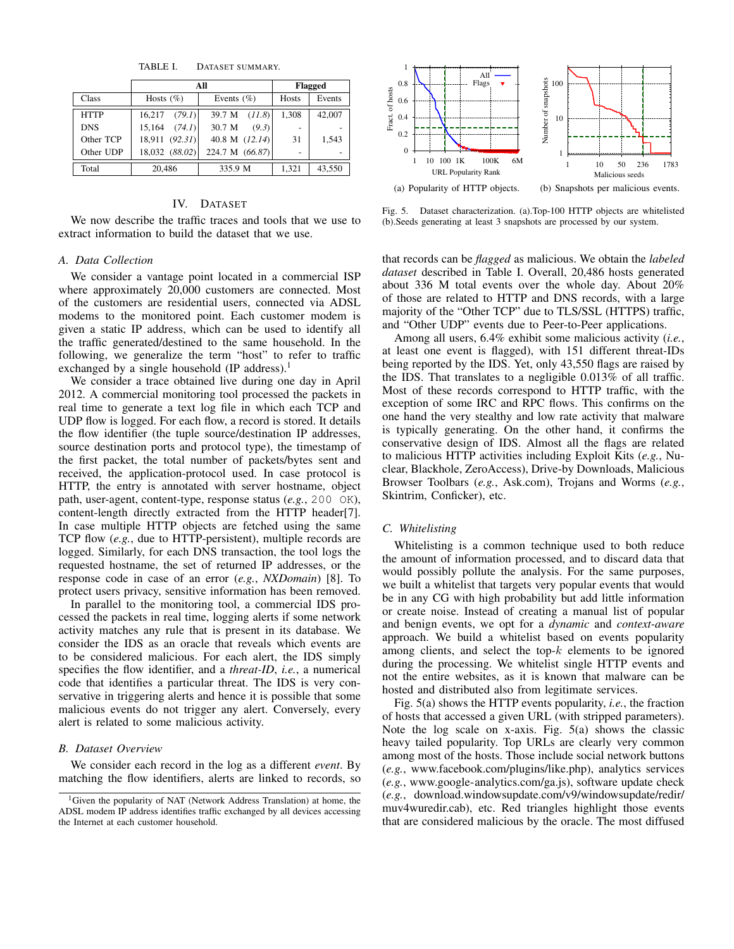TABLE I. DATASET SUMMARY.

|             | All                | <b>Flagged</b>   |       |        |
|-------------|--------------------|------------------|-------|--------|
| Class       | Hosts $(\%)$       | Events $(\% )$   | Hosts | Events |
| <b>HTTP</b> | 16.217<br>(79.1)   | (11.8)<br>39.7 M | 1,308 | 42,007 |
| <b>DNS</b>  | 15.164<br>(74.1)   | 30.7 M<br>(9.3)  |       |        |
| Other TCP   | $18,911$ $(92,31)$ | 40.8 M (12.14)   | 31    | 1.543  |
| Other UDP   | 18,032 (88.02)     | 224.7 M (66.87)  |       |        |
| Total       | 20,486             | 335.9 M          | 1.321 | 43,550 |

#### IV. DATASET

We now describe the traffic traces and tools that we use to extract information to build the dataset that we use.

#### *A. Data Collection*

We consider a vantage point located in a commercial ISP where approximately 20,000 customers are connected. Most of the customers are residential users, connected via ADSL modems to the monitored point. Each customer modem is given a static IP address, which can be used to identify all the traffic generated/destined to the same household. In the following, we generalize the term "host" to refer to traffic exchanged by a single household (IP address).<sup>1</sup>

We consider a trace obtained live during one day in April 2012. A commercial monitoring tool processed the packets in real time to generate a text log file in which each TCP and UDP flow is logged. For each flow, a record is stored. It details the flow identifier (the tuple source/destination IP addresses, source destination ports and protocol type), the timestamp of the first packet, the total number of packets/bytes sent and received, the application-protocol used. In case protocol is HTTP, the entry is annotated with server hostname, object path, user-agent, content-type, response status (*e.g.*, 200 OK), content-length directly extracted from the HTTP header[7]. In case multiple HTTP objects are fetched using the same TCP flow (*e.g.*, due to HTTP-persistent), multiple records are logged. Similarly, for each DNS transaction, the tool logs the requested hostname, the set of returned IP addresses, or the response code in case of an error (*e.g.*, *NXDomain*) [8]. To protect users privacy, sensitive information has been removed.

In parallel to the monitoring tool, a commercial IDS processed the packets in real time, logging alerts if some network activity matches any rule that is present in its database. We consider the IDS as an oracle that reveals which events are to be considered malicious. For each alert, the IDS simply specifies the flow identifier, and a *threat-ID*, *i.e.*, a numerical code that identifies a particular threat. The IDS is very conservative in triggering alerts and hence it is possible that some malicious events do not trigger any alert. Conversely, every alert is related to some malicious activity.

#### *B. Dataset Overview*

We consider each record in the log as a different *event*. By matching the flow identifiers, alerts are linked to records, so



Fig. 5. Dataset characterization. (a).Top-100 HTTP objects are whitelisted (b).Seeds generating at least 3 snapshots are processed by our system.

that records can be *flagged* as malicious. We obtain the *labeled dataset* described in Table I. Overall, 20,486 hosts generated about 336 M total events over the whole day. About 20% of those are related to HTTP and DNS records, with a large majority of the "Other TCP" due to TLS/SSL (HTTPS) traffic, and "Other UDP" events due to Peer-to-Peer applications.

Among all users, 6.4% exhibit some malicious activity (*i.e.*, at least one event is flagged), with 151 different threat-IDs being reported by the IDS. Yet, only 43,550 flags are raised by the IDS. That translates to a negligible 0.013% of all traffic. Most of these records correspond to HTTP traffic, with the exception of some IRC and RPC flows. This confirms on the one hand the very stealthy and low rate activity that malware is typically generating. On the other hand, it confirms the conservative design of IDS. Almost all the flags are related to malicious HTTP activities including Exploit Kits (*e.g.*, Nuclear, Blackhole, ZeroAccess), Drive-by Downloads, Malicious Browser Toolbars (*e.g.*, Ask.com), Trojans and Worms (*e.g.*, Skintrim, Conficker), etc.

#### *C. Whitelisting*

Whitelisting is a common technique used to both reduce the amount of information processed, and to discard data that would possibly pollute the analysis. For the same purposes, we built a whitelist that targets very popular events that would be in any CG with high probability but add little information or create noise. Instead of creating a manual list of popular and benign events, we opt for a *dynamic* and *context-aware* approach. We build a whitelist based on events popularity among clients, and select the top- $k$  elements to be ignored during the processing. We whitelist single HTTP events and not the entire websites, as it is known that malware can be hosted and distributed also from legitimate services.

Fig. 5(a) shows the HTTP events popularity, *i.e.*, the fraction of hosts that accessed a given URL (with stripped parameters). Note the log scale on x-axis. Fig. 5(a) shows the classic heavy tailed popularity. Top URLs are clearly very common among most of the hosts. Those include social network buttons (*e.g.*, www.facebook.com/plugins/like.php), analytics services (*e.g.*, www.google-analytics.com/ga.js), software update check (*e.g.*, download.windowsupdate.com/v9/windowsupdate/redir/ muv4wuredir.cab), etc. Red triangles highlight those events that are considered malicious by the oracle. The most diffused

<sup>&</sup>lt;sup>1</sup>Given the popularity of NAT (Network Address Translation) at home, the ADSL modem IP address identifies traffic exchanged by all devices accessing the Internet at each customer household.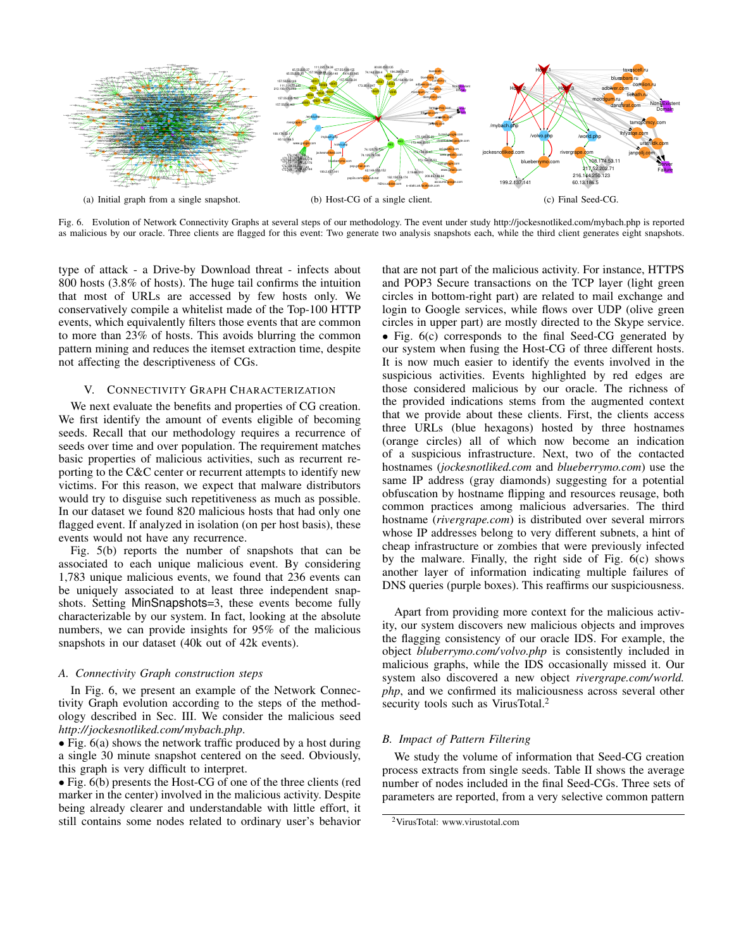

Fig. 6. Evolution of Network Connectivity Graphs at several steps of our methodology. The event under study http://jockesnotliked.com/mybach.php is reported as malicious by our oracle. Three clients are flagged for this event: Two generate two analysis snapshots each, while the third client generates eight snapshots.

type of attack - a Drive-by Download threat - infects about 800 hosts (3.8% of hosts). The huge tail confirms the intuition that most of URLs are accessed by few hosts only. We conservatively compile a whitelist made of the Top-100 HTTP events, which equivalently filters those events that are common to more than 23% of hosts. This avoids blurring the common pattern mining and reduces the itemset extraction time, despite not affecting the descriptiveness of CGs.

# V. CONNECTIVITY GRAPH CHARACTERIZATION

We next evaluate the benefits and properties of CG creation. We first identify the amount of events eligible of becoming seeds. Recall that our methodology requires a recurrence of seeds over time and over population. The requirement matches basic properties of malicious activities, such as recurrent reporting to the C&C center or recurrent attempts to identify new victims. For this reason, we expect that malware distributors would try to disguise such repetitiveness as much as possible. In our dataset we found 820 malicious hosts that had only one flagged event. If analyzed in isolation (on per host basis), these events would not have any recurrence.

Fig. 5(b) reports the number of snapshots that can be associated to each unique malicious event. By considering 1,783 unique malicious events, we found that 236 events can be uniquely associated to at least three independent snapshots. Setting MinSnapshots=3, these events become fully characterizable by our system. In fact, looking at the absolute numbers, we can provide insights for 95% of the malicious snapshots in our dataset (40k out of 42k events).

# *A. Connectivity Graph construction steps*

In Fig. 6, we present an example of the Network Connectivity Graph evolution according to the steps of the methodology described in Sec. III. We consider the malicious seed *http://jockesnotliked.com/mybach.php*.

• Fig. 6(a) shows the network traffic produced by a host during a single 30 minute snapshot centered on the seed. Obviously, this graph is very difficult to interpret.

• Fig. 6(b) presents the Host-CG of one of the three clients (red marker in the center) involved in the malicious activity. Despite being already clearer and understandable with little effort, it still contains some nodes related to ordinary user's behavior that are not part of the malicious activity. For instance, HTTPS and POP3 Secure transactions on the TCP layer (light green circles in bottom-right part) are related to mail exchange and login to Google services, while flows over UDP (olive green circles in upper part) are mostly directed to the Skype service. • Fig. 6(c) corresponds to the final Seed-CG generated by our system when fusing the Host-CG of three different hosts. It is now much easier to identify the events involved in the suspicious activities. Events highlighted by red edges are those considered malicious by our oracle. The richness of the provided indications stems from the augmented context that we provide about these clients. First, the clients access three URLs (blue hexagons) hosted by three hostnames (orange circles) all of which now become an indication of a suspicious infrastructure. Next, two of the contacted hostnames (*jockesnotliked.com* and *blueberrymo.com*) use the same IP address (gray diamonds) suggesting for a potential obfuscation by hostname flipping and resources reusage, both common practices among malicious adversaries. The third hostname (*rivergrape.com*) is distributed over several mirrors whose IP addresses belong to very different subnets, a hint of cheap infrastructure or zombies that were previously infected by the malware. Finally, the right side of Fig. 6(c) shows another layer of information indicating multiple failures of DNS queries (purple boxes). This reaffirms our suspiciousness.

Apart from providing more context for the malicious activity, our system discovers new malicious objects and improves the flagging consistency of our oracle IDS. For example, the object *bluberrymo.com/volvo.php* is consistently included in malicious graphs, while the IDS occasionally missed it. Our system also discovered a new object *rivergrape.com/world. php*, and we confirmed its maliciousness across several other security tools such as VirusTotal.<sup>2</sup>

#### *B. Impact of Pattern Filtering*

We study the volume of information that Seed-CG creation process extracts from single seeds. Table II shows the average number of nodes included in the final Seed-CGs. Three sets of parameters are reported, from a very selective common pattern

<sup>2</sup>VirusTotal: www.virustotal.com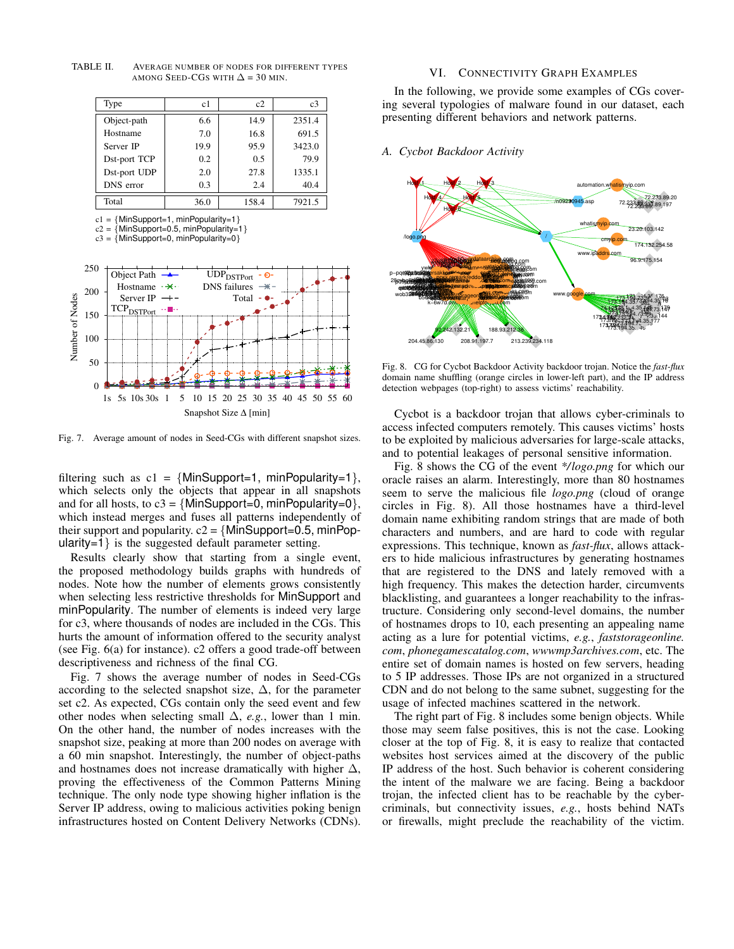| Type         | c1   | c2    | c3     |
|--------------|------|-------|--------|
| Object-path  | 6.6  | 14.9  | 2351.4 |
| Hostname     | 7.0  | 16.8  | 691.5  |
| Server IP    | 19.9 | 95.9  | 3423.0 |
| Dst-port TCP | 0.2  | 0.5   | 79.9   |
| Dst-port UDP | 2.0  | 27.8  | 1335.1 |
| DNS error    | 0.3  | 2.4   | 40.4   |
| Total        | 36.0 | 158.4 | 7921.5 |

TABLE II. AVERAGE NUMBER OF NODES FOR DIFFERENT TYPES AMONG SEED-CGS WITH  $\Delta$  = 30 MIN.

 $c1 = \{MinSupport=1, minPopulation=1\}$ 

 $c2 = \{MinSupport=0.5, minPopularity=1\}$ 

 $c3 = \{MinSupport=0, minPopularity=0\}$ 



Fig. 7. Average amount of nodes in Seed-CGs with different snapshot sizes.

filtering such as  $c1 = \{MinSupport=1, minPopulation=1\},\$ which selects only the objects that appear in all snapshots and for all hosts, to  $c3 = \{MinSupport=0, minPopulation=0\},\}$ which instead merges and fuses all patterns independently of their support and popularity.  $c2 = \{MinSupport=0.5, minPop$ ularity=1 $\}$  is the suggested default parameter setting.

Results clearly show that starting from a single event, the proposed methodology builds graphs with hundreds of nodes. Note how the number of elements grows consistently when selecting less restrictive thresholds for MinSupport and minPopularity. The number of elements is indeed very large for c3, where thousands of nodes are included in the CGs. This hurts the amount of information offered to the security analyst (see Fig. 6(a) for instance). c2 offers a good trade-off between descriptiveness and richness of the final CG.

Fig. 7 shows the average number of nodes in Seed-CGs according to the selected snapshot size,  $\Delta$ , for the parameter set c2. As expected, CGs contain only the seed event and few other nodes when selecting small  $\Delta$ , *e.g.*, lower than 1 min. On the other hand, the number of nodes increases with the snapshot size, peaking at more than 200 nodes on average with a 60 min snapshot. Interestingly, the number of object-paths and hostnames does not increase dramatically with higher  $\Delta$ , proving the effectiveness of the Common Patterns Mining technique. The only node type showing higher inflation is the Server IP address, owing to malicious activities poking benign infrastructures hosted on Content Delivery Networks (CDNs).

#### VI. CONNECTIVITY GRAPH EXAMPLES

In the following, we provide some examples of CGs covering several typologies of malware found in our dataset, each presenting different behaviors and network patterns.

#### *A. Cycbot Backdoor Activity*



Fig. 8. CG for Cycbot Backdoor Activity backdoor trojan. Notice the *fast-flux* domain name shuffling (orange circles in lower-left part), and the IP address detection webpages (top-right) to assess victims' reachability.

Cycbot is a backdoor trojan that allows cyber-criminals to access infected computers remotely. This causes victims' hosts to be exploited by malicious adversaries for large-scale attacks, and to potential leakages of personal sensitive information.

Fig. 8 shows the CG of the event *\*/logo.png* for which our oracle raises an alarm. Interestingly, more than 80 hostnames seem to serve the malicious file *logo.png* (cloud of orange circles in Fig. 8). All those hostnames have a third-level domain name exhibiting random strings that are made of both characters and numbers, and are hard to code with regular expressions. This technique, known as *fast-flux*, allows attackers to hide malicious infrastructures by generating hostnames that are registered to the DNS and lately removed with a high frequency. This makes the detection harder, circumvents blacklisting, and guarantees a longer reachability to the infrastructure. Considering only second-level domains, the number of hostnames drops to 10, each presenting an appealing name acting as a lure for potential victims, *e.g.*, *faststorageonline. com*, *phonegamescatalog.com*, *wwwmp3archives.com*, etc. The entire set of domain names is hosted on few servers, heading to 5 IP addresses. Those IPs are not organized in a structured CDN and do not belong to the same subnet, suggesting for the usage of infected machines scattered in the network.

The right part of Fig. 8 includes some benign objects. While those may seem false positives, this is not the case. Looking closer at the top of Fig. 8, it is easy to realize that contacted websites host services aimed at the discovery of the public IP address of the host. Such behavior is coherent considering the intent of the malware we are facing. Being a backdoor trojan, the infected client has to be reachable by the cybercriminals, but connectivity issues, *e.g.*, hosts behind NATs or firewalls, might preclude the reachability of the victim.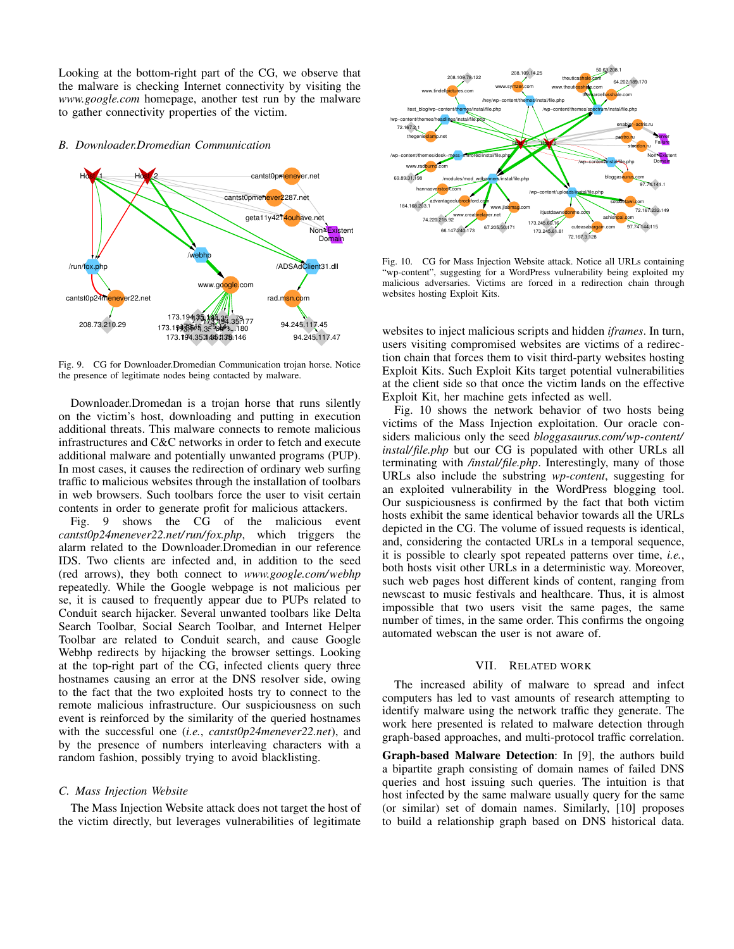Looking at the bottom-right part of the CG, we observe that the malware is checking Internet connectivity by visiting the *www.google.com* homepage, another test run by the malware to gather connectivity properties of the victim.

#### *B. Downloader.Dromedian Communication*



Fig. 9. CG for Downloader.Dromedian Communication trojan horse. Notice the presence of legitimate nodes being contacted by malware.

Downloader.Dromedan is a trojan horse that runs silently on the victim's host, downloading and putting in execution additional threats. This malware connects to remote malicious infrastructures and C&C networks in order to fetch and execute additional malware and potentially unwanted programs (PUP). In most cases, it causes the redirection of ordinary web surfing traffic to malicious websites through the installation of toolbars in web browsers. Such toolbars force the user to visit certain contents in order to generate profit for malicious attackers.

Fig. 9 shows the CG of the malicious event *cantst0p24menever22.net/ run/fox.php*, which triggers the alarm related to the Downloader.Dromedian in our reference IDS. Two clients are infected and, in addition to the seed (red arrows), they both connect to *www.google.com/webhp* repeatedly. While the Google webpage is not malicious per se, it is caused to frequently appear due to PUPs related to Conduit search hijacker. Several unwanted toolbars like Delta Search Toolbar, Social Search Toolbar, and Internet Helper Toolbar are related to Conduit search, and cause Google Webhp redirects by hijacking the browser settings. Looking at the top-right part of the CG, infected clients query three hostnames causing an error at the DNS resolver side, owing to the fact that the two exploited hosts try to connect to the remote malicious infrastructure. Our suspiciousness on such event is reinforced by the similarity of the queried hostnames with the successful one (*i.e.*, *cantst0p24menever22.net*), and by the presence of numbers interleaving characters with a random fashion, possibly trying to avoid blacklisting.

#### *C. Mass Injection Website*

The Mass Injection Website attack does not target the host of the victim directly, but leverages vulnerabilities of legitimate



Fig. 10. CG for Mass Injection Website attack. Notice all URLs containing "wp-content", suggesting for a WordPress vulnerability being exploited my malicious adversaries. Victims are forced in a redirection chain through websites hosting Exploit Kits.

websites to inject malicious scripts and hidden *iframes*. In turn, users visiting compromised websites are victims of a redirection chain that forces them to visit third-party websites hosting Exploit Kits. Such Exploit Kits target potential vulnerabilities at the client side so that once the victim lands on the effective Exploit Kit, her machine gets infected as well.

Fig. 10 shows the network behavior of two hosts being victims of the Mass Injection exploitation. Our oracle considers malicious only the seed *bloggasaurus.com/wp-content/ instal/ file.php* but our CG is populated with other URLs all terminating with */instal/ file.php*. Interestingly, many of those URLs also include the substring *wp-content*, suggesting for an exploited vulnerability in the WordPress blogging tool. Our suspiciousness is confirmed by the fact that both victim hosts exhibit the same identical behavior towards all the URLs depicted in the CG. The volume of issued requests is identical, and, considering the contacted URLs in a temporal sequence, it is possible to clearly spot repeated patterns over time, *i.e.*, both hosts visit other URLs in a deterministic way. Moreover, such web pages host different kinds of content, ranging from newscast to music festivals and healthcare. Thus, it is almost impossible that two users visit the same pages, the same number of times, in the same order. This confirms the ongoing automated webscan the user is not aware of.

### VII. RELATED WORK

The increased ability of malware to spread and infect computers has led to vast amounts of research attempting to identify malware using the network traffic they generate. The work here presented is related to malware detection through graph-based approaches, and multi-protocol traffic correlation.

Graph-based Malware Detection: In [9], the authors build a bipartite graph consisting of domain names of failed DNS queries and host issuing such queries. The intuition is that host infected by the same malware usually query for the same (or similar) set of domain names. Similarly, [10] proposes to build a relationship graph based on DNS historical data.